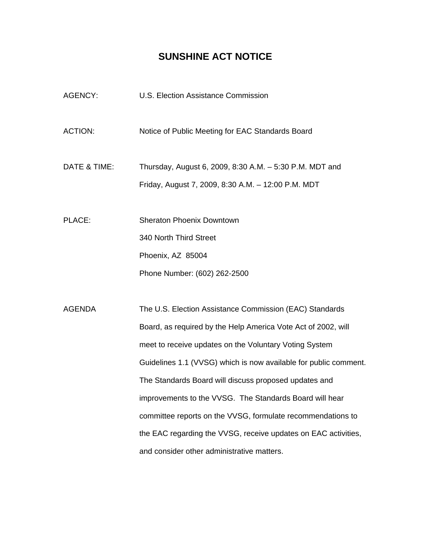## **SUNSHINE ACT NOTICE**

AGENCY: U.S. Election Assistance Commission ACTION: Notice of Public Meeting for EAC Standards Board DATE & TIME: Thursday, August 6, 2009, 8:30 A.M. – 5:30 P.M. MDT and Friday, August 7, 2009, 8:30 A.M. – 12:00 P.M. MDT PLACE: Sheraton Phoenix Downtown 340 North Third Street Phoenix, AZ 85004 Phone Number: (602) 262-2500 AGENDA The U.S. Election Assistance Commission (EAC) Standards Board, as required by the Help America Vote Act of 2002, will meet to receive updates on the Voluntary Voting System Guidelines 1.1 (VVSG) which is now available for public comment. The Standards Board will discuss proposed updates and improvements to the VVSG. The Standards Board will hear committee reports on the VVSG, formulate recommendations to the EAC regarding the VVSG, receive updates on EAC activities,

and consider other administrative matters.